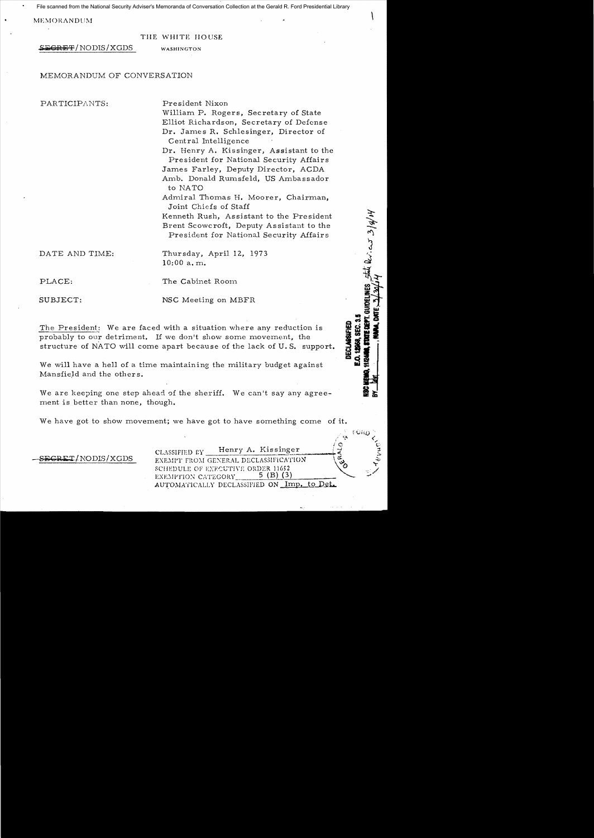File scanned from the National Security Adviser's Memoranda of Conversation Collection at the Gerald R. Ford Presidential Library

 $\sim$ MEMORANDUM $\sim$ for  $\sim$ 

#### THE WHITE HOUSE

S<del>CRET</del>/NODIS/XGDS WASHINGTON

## MEMORANDUM OF CONVERSATION

PARTICIPANTS: President Nixon

William P. Rogers, Secretary of State Elliot Richardson, Secretary of Defense Dr. James R. Schlesinger, Director of Central Intelligence

Dr. Henry A. Kissinger, Assistant to the President for National Security Affairs James Farley, Deputy Director, ACDA Amb. Donald Rumsfeld, US Ambassador to NATO

Admiral Thomas H. Moorer, Chairman, Joint Chiefs of Staff

Kenneth Rush, Assistant to the President Brent Scowcroft, Deputy Assistant to the President for National Security Affairs

DATE AND TIME: Thursday, April 12, 1973 10:00 a. m.

PLACE: The Cabinet Room

SUBJECT: NSC Meeting on MBFR

The President: We are faced with a situation where any reduction is probably to our detriment. If we don't show some movement, the structure of NATO will come apart because of the lack of U. S. support.

We will have a hell of a time maintaining the military budget against Mansfield and the others.

We are keeping one step ahead of the sheriff. We can't say any agreement is better than none, though.

We have got to show movement; we have got to have something come of it.

CLASSIFIED <sub>LY</sub> Henry A. Kissinger  $\frac{1}{\text{GRET/NODIS/XGDS}}$  EXEMIT FROM GENERAL DECLASSIFICATION SCHEDULE OF EXECUTIVE ORDER 11652 v v en executive order 11652 AUTOMATICALLY DECLASSIFIED ON Imp. to Det.

 $\mathfrak{p}_\mathbf{GHD}$  .  $\mathbb{R}^n \subset \mathbb{R}^n$  $\circ$  t;:

**12958. SEC. 3. JECLASSIFIED** 

the levices 3/4/of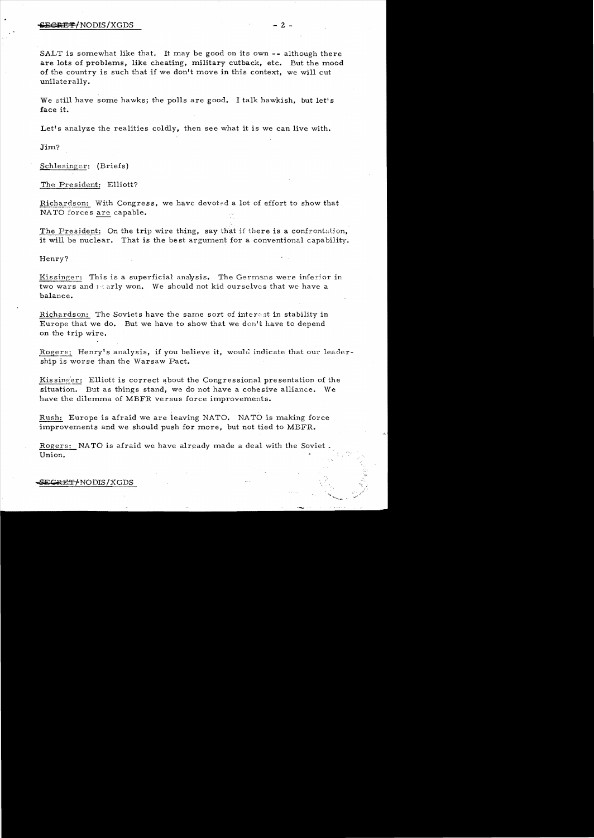#### $-2$  - $\overline{G}$   $\overline{G}$   $\overline{G}$   $\overline{G}$   $\overline{G}$   $\overline{G}$   $\overline{G}$   $\overline{G}$   $\overline{G}$   $\overline{G}$   $\overline{G}$   $\overline{G}$   $\overline{G}$   $\overline{G}$   $\overline{G}$   $\overline{G}$   $\overline{G}$   $\overline{G}$   $\overline{G}$   $\overline{G}$   $\overline{G}$   $\overline{G}$   $\overline{G}$   $\overline{G}$

SALT is somewhat like that. It may be good on its own -- although there are lots of problems, like cheating, military cutback, etc. But the mood of the country is such that if we don't move in this context. we wi11 cut unilatera11y.

We still have some hawks; the polls are good. I talk hawkish, but let's face it.

Let's analyze the realities coldly, then see what it is we can live with.

Jim?

Schlesinger: (Briefs)

The President: Elliott?

Richardson: With Congress, we have devoted a lot of effort to show that NATO forces are capable.

The President: On the trip wire thing, say that if there is a confrontation, it will be nuclear. That is the best argument for a conventional capability.

Henry?

Kissinger: This is a superficial analysis. The Germans were inferior in two wars and  $i \in \text{arly won}$ . We should not kid ourselves that we have a balance.

Richardson: The Soviets have the same sort of interest in stability in Europe that we do. But we have to show that we don't have to depend on the trip wire.

Rogers: Henry's analysis, if you believe it, would indicate that our leadership is worse than the Warsaw Pact.

Kissinger: Elliott is correct about the Congressional presentation of the situation. But as things stand, we do not have a cohesive alliance. We have the dilemma of MBFR versus force improvements.

Rush: Europe is afraid we are leaving NATO. NATO is making force improvements and we should push for more, but not tied to MBFR.

Rogers: NATO is afraid we have already made a deal with the Soviet. Union.  $\blacksquare$ 

#### <del>ECRET/</del>NODIS/XGDS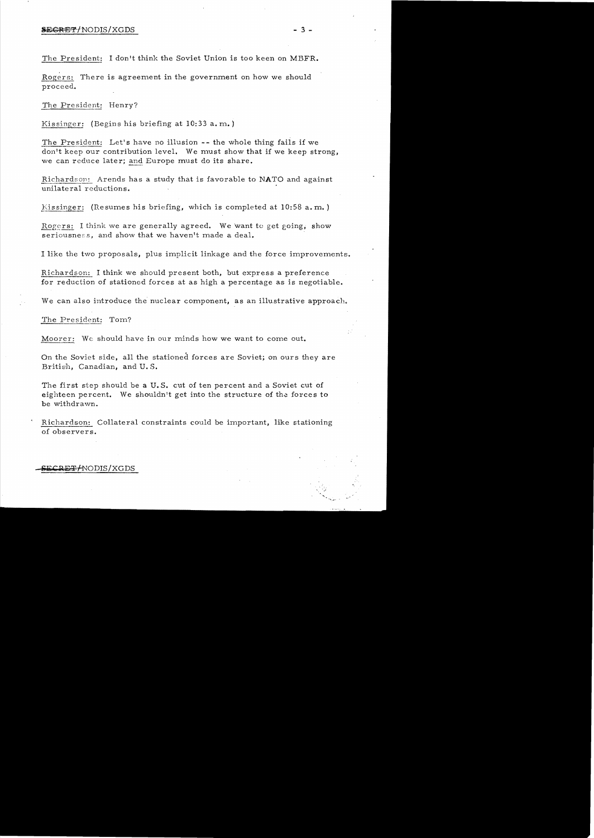## **SECRET/NODIS/XGDS** - 3 -

The President: I don't think the Soviet Union is too keen on MBFR.

Rogers: There is agreement in the government on how we should proceed.

The President: Henry?

Kissinger: (Begins his briefing at 10:33 a. m.)

The President: Let's have no illusion -- the whole thing fails if we don't keep our contribution level. We must show that if we keep strong, we can reduce later; and Europe must do its share.

Richardson: Arends has a study that is favorable to NATO and against unilateral reductions.

Kissinger: (Resumes his briefing, which is completed at  $10:58$  a.m.)

Rogers: I think we are generally agreed. We want to get going, show seriousness, and show that we haven't made a deal.

I like the two proposals, plus implicit linkage and the force improvements.

Richardson: I think we should present both, but express a preference for reduction of stationed forces at as high a percentage as is negotiable.

We can also introduce the nuclear component, as an illustrative approach.

The President: Tom?

Moorer: We should have in our minds how we want to come out.

On the Soviet side, all the stationed forces are Soviet; on ours they are British, Canadian, and U. S.

The first step should be a U.S. cut of ten percent and a Soviet cut of eighteen percent. We shouldn't get into the structure of the forces to be withdrawn.

Richardson: Collateral constraints could be important, like stationing of observers.

# **ECRET / NODIS / XGDS**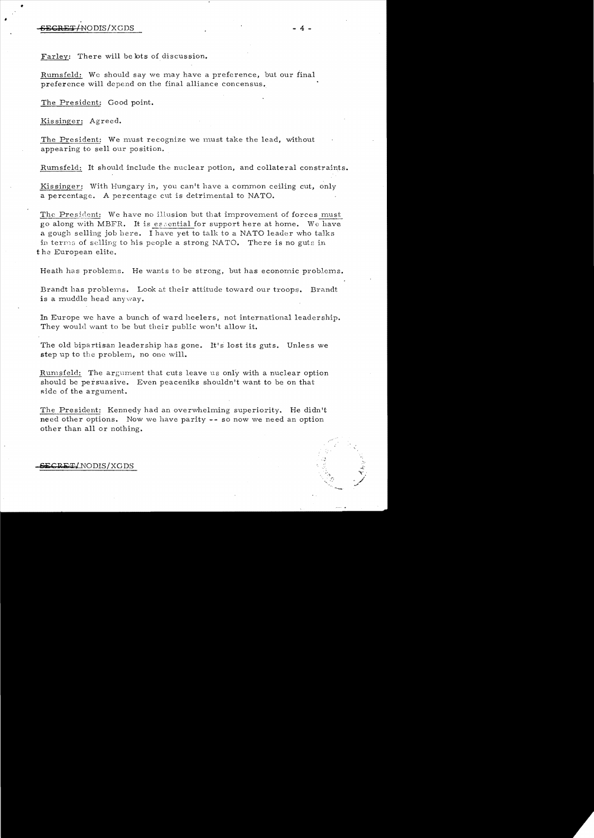•

,

Farley: There will be lots of discussion.

Rumsfeld: We should say we may have a preferenee, but our final preference will depend on the final alliance concensus.

The President: Good point.

Kissinger: Agreed.

The President: We must recognize we must take the lead, without appearing to sell our position.

Rumsfeld: It should include the nuclear potion, and collateral constraints.

Kissinger: With Hungary in, you can't have a common ceiling cut, only a percentage. A percentage cut is detrimental to NATO.

The President: We have no illusion but that improvement of forces must go along with MBFR. It is essential for support here at home. We have a gough selling job here. I have yet to talk to a NATO leader who talks in terms of selling to his people a strong NATO. There is no guts in t he European elite.

Heath has problems. He wants to be strong, but has economic problems.

Brandt has problems. Look at their attitude toward our troops. Brandt is a muddle head anyway.

In Europe we have a bunch of ward heelers, not international leadership. They would want to be but their public won't allow it.

The old bipartisan leadership has gone. It's lost its guts. Unless we step up to the problem, no one will.

Rumsfeld: The argument that cuts leave us only with a nuclear option should be persuasive. Even peaceniks shouldn't want to be on that side of the argument.

The President: Kennedy had an overwhelming superiority. He didn't need other options. Now we have parity -- so now we need an option other than all or nothing.

### &i:CRlkTI NODIS/XGDS

. , े<br>१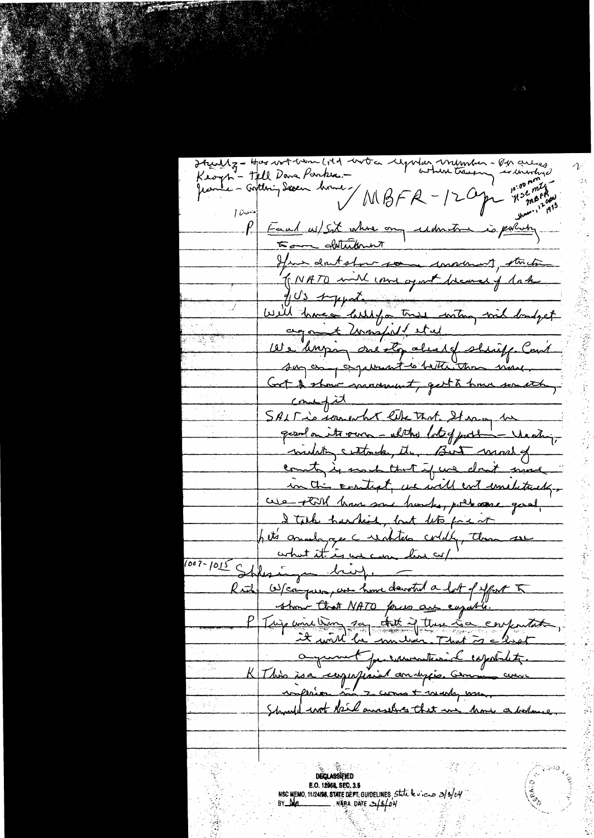Itzuliz - Har wat bin litt worten far verkenher - Op culces Keoph - Tell Dave Parker .erburnhyd **10:00 }** Jeanle - Goldbring Saven brown -WBFR-12 Oper regional  $100$ Eaul as/sit where any understand is pulledy  $\mu$ 500 glatutement June doutston some conservent, strike (NATO will come agent because of lake fils sypatement Will have a letter tree with mil londget agant worspull stal We knopp one ly about shiff Cout sur any experient to better than weak. Get & show manuf, get a hour south,  $\frac{c_{\text{max}}}{c}$ SALT is somewhat like that It was to gesol on its very - altho lot of justin - Venting, midating certainly, the But made of county is used that if we don't mind in this contrat, we will cont emeletricky. we till have some bunks, pullace good, I talk hardish, but let face it het's analoge cuidities coldly, there are 007-1015 Shpering bing. Rud Weapun, we have daroted a let of your 5 show that NATO forces are capable. Tuis une time sa chet if there La confertate, a quint persuantesid repotates. K This is a comparaise analysis. Comme course Should wot kill answers that we have a bolome **DECLASSIFIED** E.O. 12958, SEC. 3.5 NSC MEMO, 11/2408, STATE DÉFT. GUIDELINES, State le viere 2/8/04<br>BY Ma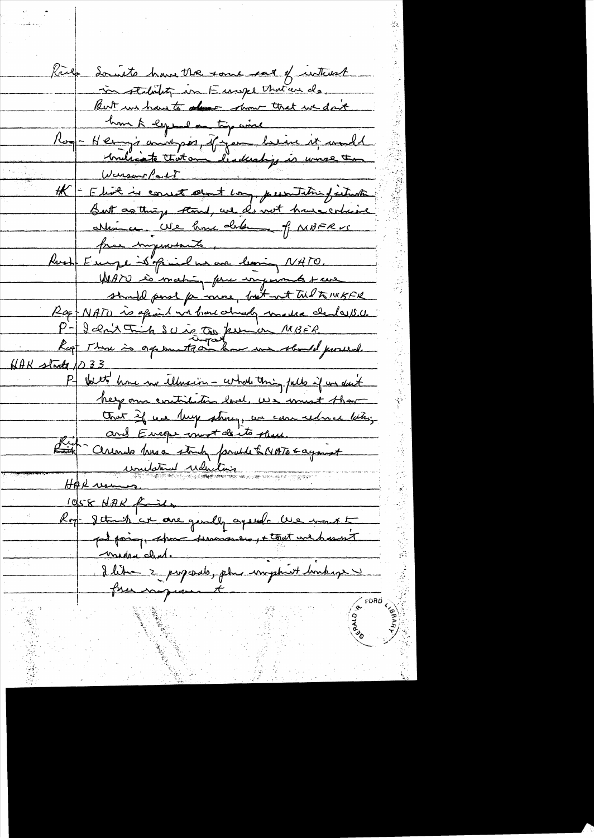Someto have the some sat of without in stability in Europe that are do. Rut in have to donor that we don't hom à eguila tip aire<br>Pos - Henry's analysis, if you behin it would Warson Part H - Elist is consist about long, presentative faiture But as things stood, we do not have cohine allière Use home determent f NBFRVS Part Employed de Paris 1900 WAYO is mating forme impressed to cur should pass for more, but with til to 1415FR Rof NATO is april without almost marker charles 15.0. P-Janx Trick Suis to purion MBER  $NAK$  stade 1033 P- bett home we telms in - what this fulls if we don't help our contribution level. We want that that if we keep strong us can reduce lating and Europe must donto them. Rich - Cerendo husa strute faculté NATO 6 ayanst <u>unitative uduction</u> HAR usun 1058 NAK fails Roy-Jetre's et are gendly agende les mont <u>Madre clent.</u> Ilitme 2 pagade, plus imphatt buskage free comprament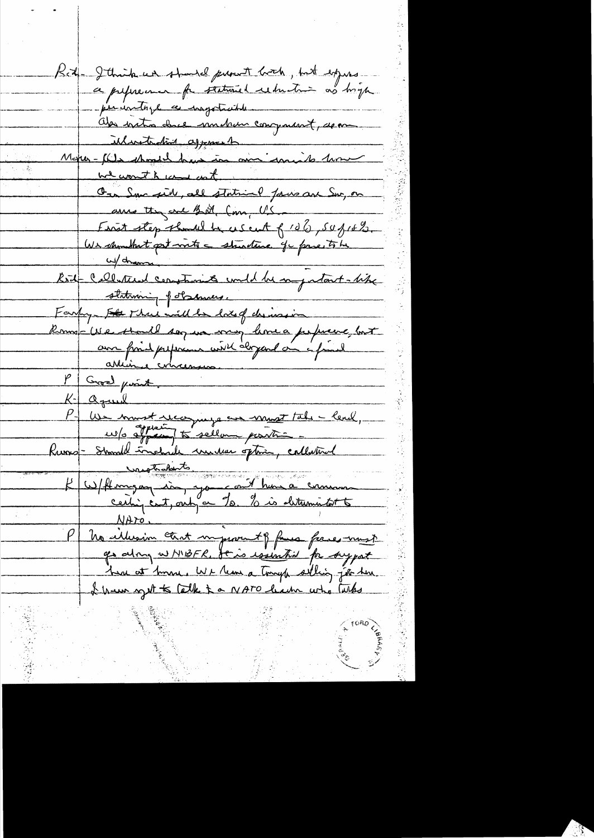Réd-Jehnikur should prout boch, but expres - periodista a important Als initio duce immetrem component, dem Monse Martinholm assement we wonth und cont On Sucreil, all station faces au Sur, on are the one of other Com, U.S. First step should be escent f 106, 50 f 16%.<br>Un monte pet voits = studius que prie 5 h w/drams Kit Cellesteed constants und he say start-like stateming of damices. Farty-Fle Mil mille lots d'assimer  $P$  Groad point. K. agual<br>P. We must recognize an must tal - lead,<br>Ruovo - Stand Indian must ghia, calledonal<br>Kuovo - Stand Indian must ghia, calledonal<br>K. Whro.<br>Phe allusion that myssoriat for face must<br>Phe allusion that myssoriat free mu go along w MBFR, Je is issunted for support ha at tom We than a tomph solling job here. I have get to talk to NATO hade who talks